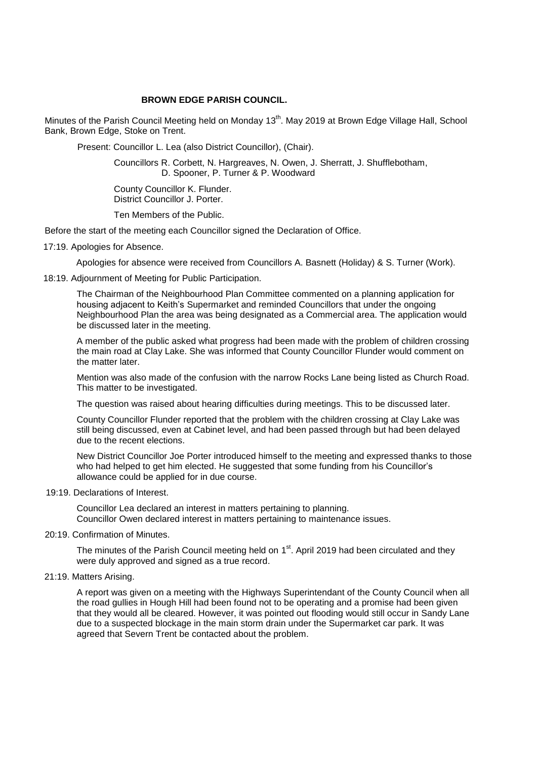# **BROWN EDGE PARISH COUNCIL.**

Minutes of the Parish Council Meeting held on Monday 13<sup>th</sup>. May 2019 at Brown Edge Village Hall, School Bank, Brown Edge, Stoke on Trent.

Present: Councillor L. Lea (also District Councillor), (Chair).

 Councillors R. Corbett, N. Hargreaves, N. Owen, J. Sherratt, J. Shufflebotham, D. Spooner, P. Turner & P. Woodward

 County Councillor K. Flunder. District Councillor J. Porter.

Ten Members of the Public.

Before the start of the meeting each Councillor signed the Declaration of Office.

17:19. Apologies for Absence.

Apologies for absence were received from Councillors A. Basnett (Holiday) & S. Turner (Work).

18:19. Adjournment of Meeting for Public Participation.

The Chairman of the Neighbourhood Plan Committee commented on a planning application for housing adjacent to Keith's Supermarket and reminded Councillors that under the ongoing Neighbourhood Plan the area was being designated as a Commercial area. The application would be discussed later in the meeting.

A member of the public asked what progress had been made with the problem of children crossing the main road at Clay Lake. She was informed that County Councillor Flunder would comment on the matter later.

Mention was also made of the confusion with the narrow Rocks Lane being listed as Church Road. This matter to be investigated.

The question was raised about hearing difficulties during meetings. This to be discussed later.

County Councillor Flunder reported that the problem with the children crossing at Clay Lake was still being discussed, even at Cabinet level, and had been passed through but had been delayed due to the recent elections.

New District Councillor Joe Porter introduced himself to the meeting and expressed thanks to those who had helped to get him elected. He suggested that some funding from his Councillor's allowance could be applied for in due course.

19:19. Declarations of Interest.

Councillor Lea declared an interest in matters pertaining to planning. Councillor Owen declared interest in matters pertaining to maintenance issues.

20:19. Confirmation of Minutes.

The minutes of the Parish Council meeting held on 1<sup>st</sup>. April 2019 had been circulated and they were duly approved and signed as a true record.

21:19. Matters Arising.

A report was given on a meeting with the Highways Superintendant of the County Council when all the road gullies in Hough Hill had been found not to be operating and a promise had been given that they would all be cleared. However, it was pointed out flooding would still occur in Sandy Lane due to a suspected blockage in the main storm drain under the Supermarket car park. It was agreed that Severn Trent be contacted about the problem.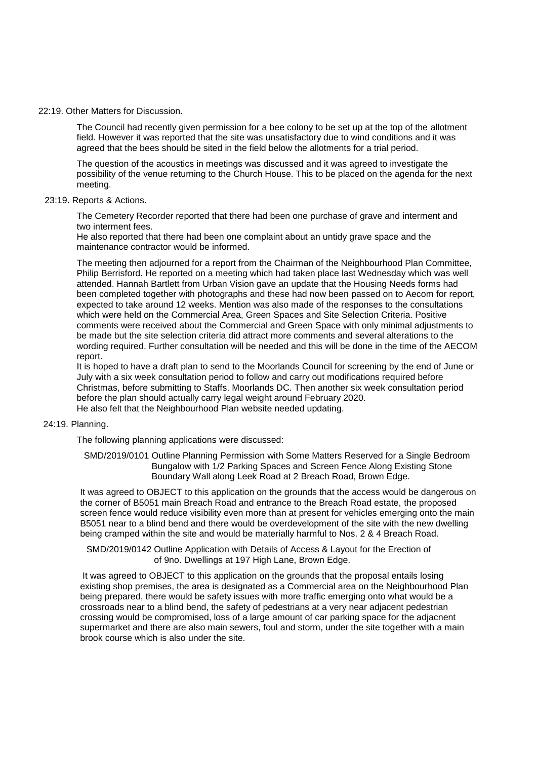### 22:19. Other Matters for Discussion.

The Council had recently given permission for a bee colony to be set up at the top of the allotment field. However it was reported that the site was unsatisfactory due to wind conditions and it was agreed that the bees should be sited in the field below the allotments for a trial period.

The question of the acoustics in meetings was discussed and it was agreed to investigate the possibility of the venue returning to the Church House. This to be placed on the agenda for the next meeting.

### 23:19. Reports & Actions.

The Cemetery Recorder reported that there had been one purchase of grave and interment and two interment fees.

He also reported that there had been one complaint about an untidy grave space and the maintenance contractor would be informed.

The meeting then adjourned for a report from the Chairman of the Neighbourhood Plan Committee, Philip Berrisford. He reported on a meeting which had taken place last Wednesday which was well attended. Hannah Bartlett from Urban Vision gave an update that the Housing Needs forms had been completed together with photographs and these had now been passed on to Aecom for report, expected to take around 12 weeks. Mention was also made of the responses to the consultations which were held on the Commercial Area, Green Spaces and Site Selection Criteria. Positive comments were received about the Commercial and Green Space with only minimal adjustments to be made but the site selection criteria did attract more comments and several alterations to the wording required. Further consultation will be needed and this will be done in the time of the AECOM report.

It is hoped to have a draft plan to send to the Moorlands Council for screening by the end of June or July with a six week consultation period to follow and carry out modifications required before Christmas, before submitting to Staffs. Moorlands DC. Then another six week consultation period before the plan should actually carry legal weight around February 2020. He also felt that the Neighbourhood Plan website needed updating.

## 24:19. Planning.

The following planning applications were discussed:

 SMD/2019/0101 Outline Planning Permission with Some Matters Reserved for a Single Bedroom Bungalow with 1/2 Parking Spaces and Screen Fence Along Existing Stone Boundary Wall along Leek Road at 2 Breach Road, Brown Edge.

It was agreed to OBJECT to this application on the grounds that the access would be dangerous on the corner of B5051 main Breach Road and entrance to the Breach Road estate, the proposed screen fence would reduce visibility even more than at present for vehicles emerging onto the main B5051 near to a blind bend and there would be overdevelopment of the site with the new dwelling being cramped within the site and would be materially harmful to Nos. 2 & 4 Breach Road.

 SMD/2019/0142 Outline Application with Details of Access & Layout for the Erection of of 9no. Dwellings at 197 High Lane, Brown Edge.

It was agreed to OBJECT to this application on the grounds that the proposal entails losing existing shop premises, the area is designated as a Commercial area on the Neighbourhood Plan being prepared, there would be safety issues with more traffic emerging onto what would be a crossroads near to a blind bend, the safety of pedestrians at a very near adjacent pedestrian crossing would be compromised, loss of a large amount of car parking space for the adjacnent supermarket and there are also main sewers, foul and storm, under the site together with a main brook course which is also under the site.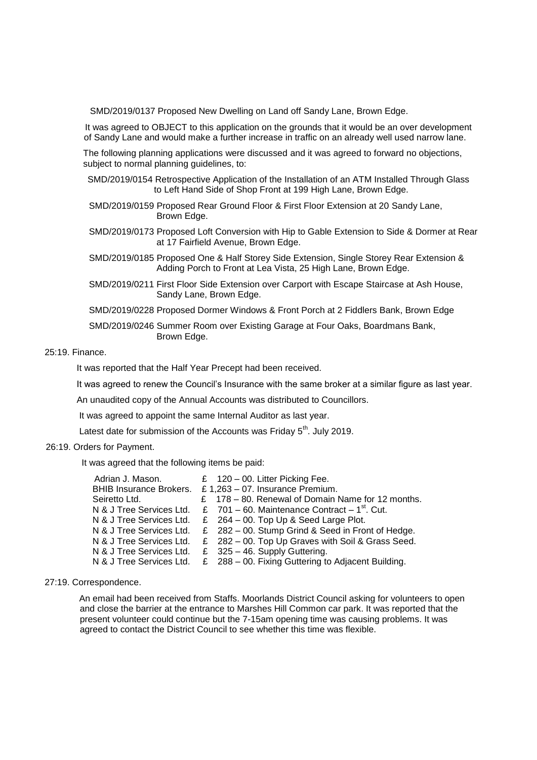SMD/2019/0137 Proposed New Dwelling on Land off Sandy Lane, Brown Edge.

It was agreed to OBJECT to this application on the grounds that it would be an over development of Sandy Lane and would make a further increase in traffic on an already well used narrow lane.

The following planning applications were discussed and it was agreed to forward no objections, subject to normal planning quidelines, to:

- SMD/2019/0154 Retrospective Application of the Installation of an ATM Installed Through Glass to Left Hand Side of Shop Front at 199 High Lane, Brown Edge.
- SMD/2019/0159 Proposed Rear Ground Floor & First Floor Extension at 20 Sandy Lane, Brown Edge.
- SMD/2019/0173 Proposed Loft Conversion with Hip to Gable Extension to Side & Dormer at Rear at 17 Fairfield Avenue, Brown Edge.
- SMD/2019/0185 Proposed One & Half Storey Side Extension, Single Storey Rear Extension & Adding Porch to Front at Lea Vista, 25 High Lane, Brown Edge.
- SMD/2019/0211 First Floor Side Extension over Carport with Escape Staircase at Ash House, Sandy Lane, Brown Edge.
- SMD/2019/0228 Proposed Dormer Windows & Front Porch at 2 Fiddlers Bank, Brown Edge

# SMD/2019/0246 Summer Room over Existing Garage at Four Oaks, Boardmans Bank, Brown Edge.

## 25:19. Finance.

It was reported that the Half Year Precept had been received.

It was agreed to renew the Council's Insurance with the same broker at a similar figure as last year.

An unaudited copy of the Annual Accounts was distributed to Councillors.

It was agreed to appoint the same Internal Auditor as last year.

Latest date for submission of the Accounts was Friday 5<sup>th</sup>. July 2019.

## 26:19. Orders for Payment.

It was agreed that the following items be paid:

| Adrian J. Mason.               | £ $120 - 00$ . Litter Picking Fee.                 |
|--------------------------------|----------------------------------------------------|
| <b>BHIB Insurance Brokers.</b> | £ $1,263 - 07$ . Insurance Premium.                |
| Seiretto Ltd.                  | £ 178 - 80. Renewal of Domain Name for 12 months.  |
| N & J Tree Services Ltd.       | £ 701 – 60. Maintenance Contract – $1^{st}$ . Cut. |
| N & J Tree Services Ltd.       | £ $264 - 00$ . Top Up & Seed Large Plot.           |
| N & J Tree Services Ltd.       | £ 282 - 00. Stump Grind & Seed in Front of Hedge.  |
| N & J Tree Services Ltd.       | £ 282 - 00. Top Up Graves with Soil & Grass Seed.  |
| N & J Tree Services Ltd.       | £ $325 - 46$ . Supply Guttering.                   |
| N & J Tree Services Ltd.       | £ 288 - 00. Fixing Guttering to Adjacent Building. |
|                                |                                                    |

### 27:19. Correspondence.

An email had been received from Staffs. Moorlands District Council asking for volunteers to open and close the barrier at the entrance to Marshes Hill Common car park. It was reported that the present volunteer could continue but the 7-15am opening time was causing problems. It was agreed to contact the District Council to see whether this time was flexible.